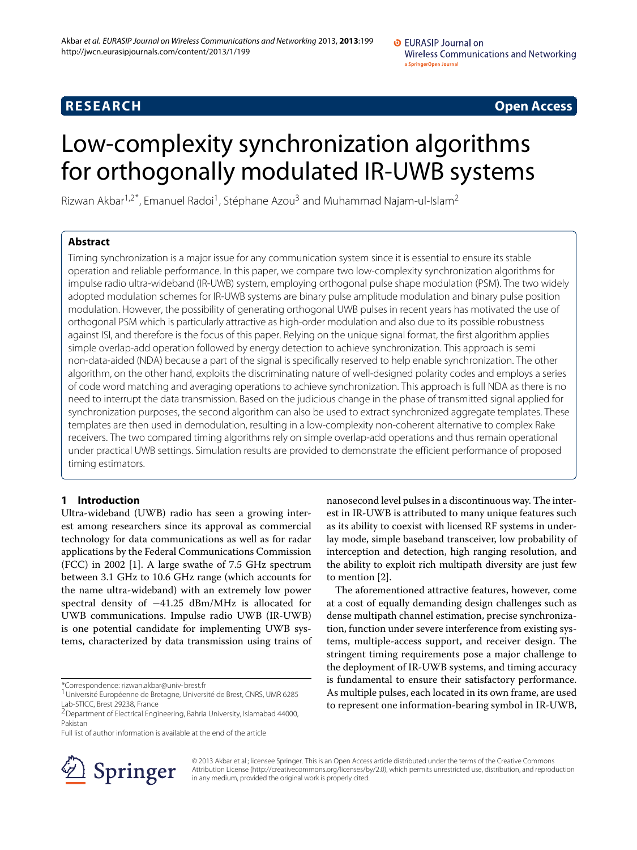**RESEARCH Open Access**

# Low-complexity synchronization algorithms for orthogonally modulated IR-UWB systems

Rizwan Akbar<sup>1,2\*</sup>, Emanuel Radoi<sup>1</sup>, Stéphane Azou<sup>3</sup> and Muhammad Najam-ul-Islam<sup>2</sup>

# **Abstract**

Timing synchronization is a major issue for any communication system since it is essential to ensure its stable operation and reliable performance. In this paper, we compare two low-complexity synchronization algorithms for impulse radio ultra-wideband (IR-UWB) system, employing orthogonal pulse shape modulation (PSM). The two widely adopted modulation schemes for IR-UWB systems are binary pulse amplitude modulation and binary pulse position modulation. However, the possibility of generating orthogonal UWB pulses in recent years has motivated the use of orthogonal PSM which is particularly attractive as high-order modulation and also due to its possible robustness against ISI, and therefore is the focus of this paper. Relying on the unique signal format, the first algorithm applies simple overlap-add operation followed by energy detection to achieve synchronization. This approach is semi non-data-aided (NDA) because a part of the signal is specifically reserved to help enable synchronization. The other algorithm, on the other hand, exploits the discriminating nature of well-designed polarity codes and employs a series of code word matching and averaging operations to achieve synchronization. This approach is full NDA as there is no need to interrupt the data transmission. Based on the judicious change in the phase of transmitted signal applied for synchronization purposes, the second algorithm can also be used to extract synchronized aggregate templates. These templates are then used in demodulation, resulting in a low-complexity non-coherent alternative to complex Rake receivers. The two compared timing algorithms rely on simple overlap-add operations and thus remain operational under practical UWB settings. Simulation results are provided to demonstrate the efficient performance of proposed timing estimators.

# **1 Introduction**

Ultra-wideband (UWB) radio has seen a growing interest among researchers since its approval as commercial technology for data communications as well as for radar applications by the Federal Communications Commission (FCC) in 2002 [\[1\]](#page-13-0). A large swathe of 7.5 GHz spectrum between 3.1 GHz to 10.6 GHz range (which accounts for the name ultra-wideband) with an extremely low power spectral density of −41.25 dBm/MHz is allocated for UWB communications. Impulse radio UWB (IR-UWB) is one potential candidate for implementing UWB systems, characterized by data transmission using trains of

\*Correspondence: rizwan.akbar@univ-brest.fr

Full list of author information is available at the end of the article



nanosecond level pulses in a discontinuous way. The interest in IR-UWB is attributed to many unique features such as its ability to coexist with licensed RF systems in underlay mode, simple baseband transceiver, low probability of interception and detection, high ranging resolution, and the ability to exploit rich multipath diversity are just few to mention [\[2\]](#page-13-1).

The aforementioned attractive features, however, come at a cost of equally demanding design challenges such as dense multipath channel estimation, precise synchronization, function under severe interference from existing systems, multiple-access support, and receiver design. The stringent timing requirements pose a major challenge to the deployment of IR-UWB systems, and timing accuracy is fundamental to ensure their satisfactory performance. As multiple pulses, each located in its own frame, are used to represent one information-bearing symbol in IR-UWB,

© 2013 Akbar et al.; licensee Springer. This is an Open Access article distributed under the terms of the Creative Commons Attribution License (http://creativecommons.org/licenses/by/2.0), which permits unrestricted use, distribution, and reproduction in any medium, provided the original work is properly cited.

<sup>&</sup>lt;sup>1</sup> Université Européenne de Bretagne, Université de Brest, CNRS, UMR 6285 Lab-STICC, Brest 29238, France

<sup>&</sup>lt;sup>2</sup> Department of Electrical Engineering, Bahria University, Islamabad 44000, Pakistan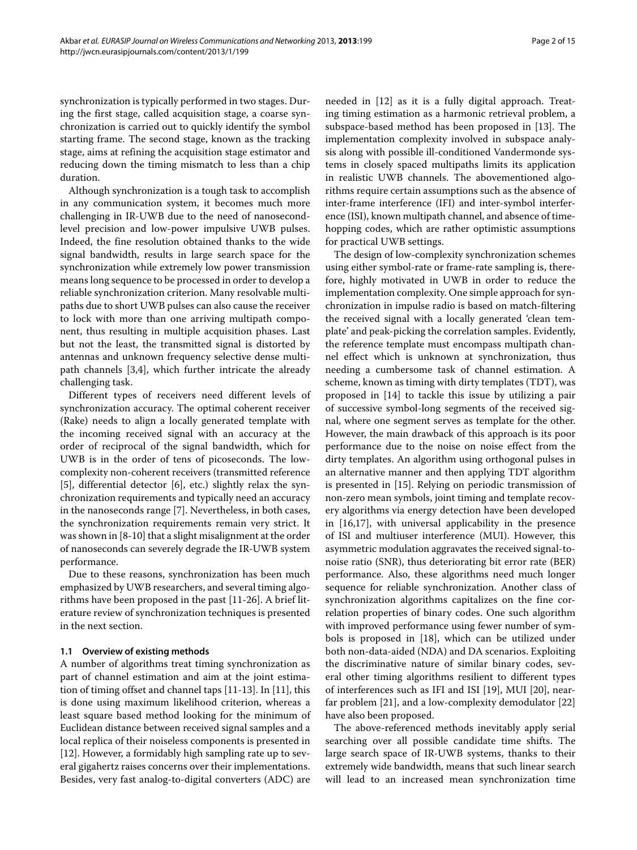synchronization is typically performed in two stages. During the first stage, called acquisition stage, a coarse synchronization is carried out to quickly identify the symbol starting frame. The second stage, known as the tracking stage, aims at refining the acquisition stage estimator and reducing down the timing mismatch to less than a chip duration.

Although synchronization is a tough task to accomplish in any communication system, it becomes much more challenging in IR-UWB due to the need of nanosecondlevel precision and low-power impulsive UWB pulses. Indeed, the fine resolution obtained thanks to the wide signal bandwidth, results in large search space for the synchronization while extremely low power transmission means long sequence to be processed in order to develop a reliable synchronization criterion. Many resolvable multipaths due to short UWB pulses can also cause the receiver to lock with more than one arriving multipath component, thus resulting in multiple acquisition phases. Last but not the least, the transmitted signal is distorted by antennas and unknown frequency selective dense multipath channels [\[3,](#page-13-2)[4\]](#page-13-3), which further intricate the already challenging task.

Different types of receivers need different levels of synchronization accuracy. The optimal coherent receiver (Rake) needs to align a locally generated template with the incoming received signal with an accuracy at the order of reciprocal of the signal bandwidth, which for UWB is in the order of tens of picoseconds. The lowcomplexity non-coherent receivers (transmitted reference [\[5\]](#page-13-4), differential detector [\[6\]](#page-13-5), etc.) slightly relax the synchronization requirements and typically need an accuracy in the nanoseconds range [\[7\]](#page-13-6). Nevertheless, in both cases, the synchronization requirements remain very strict. It was shown in [\[8-](#page-13-7)[10\]](#page-13-8) that a slight misalignment at the order of nanoseconds can severely degrade the IR-UWB system performance.

Due to these reasons, synchronization has been much emphasized by UWB researchers, and several timing algorithms have been proposed in the past [\[11](#page-13-9)[-26\]](#page-13-10). A brief literature review of synchronization techniques is presented in the next section.

## <span id="page-1-0"></span>**1.1 Overview of existing methods**

A number of algorithms treat timing synchronization as part of channel estimation and aim at the joint estimation of timing offset and channel taps [\[11](#page-13-9)[-13\]](#page-13-11). In [\[11\]](#page-13-9), this is done using maximum likelihood criterion, whereas a least square based method looking for the minimum of Euclidean distance between received signal samples and a local replica of their noiseless components is presented in [\[12\]](#page-13-12). However, a formidably high sampling rate up to several gigahertz raises concerns over their implementations. Besides, very fast analog-to-digital converters (ADC) are

needed in [\[12\]](#page-13-12) as it is a fully digital approach. Treating timing estimation as a harmonic retrieval problem, a subspace-based method has been proposed in [\[13\]](#page-13-11). The implementation complexity involved in subspace analysis along with possible ill-conditioned Vandermonde systems in closely spaced multipaths limits its application in realistic UWB channels. The abovementioned algorithms require certain assumptions such as the absence of inter-frame interference (IFI) and inter-symbol interference (ISI), known multipath channel, and absence of timehopping codes, which are rather optimistic assumptions for practical UWB settings.

The design of low-complexity synchronization schemes using either symbol-rate or frame-rate sampling is, therefore, highly motivated in UWB in order to reduce the implementation complexity. One simple approach for synchronization in impulse radio is based on match-filtering the received signal with a locally generated 'clean template' and peak-picking the correlation samples. Evidently, the reference template must encompass multipath channel effect which is unknown at synchronization, thus needing a cumbersome task of channel estimation. A scheme, known as timing with dirty templates (TDT), was proposed in [\[14\]](#page-13-13) to tackle this issue by utilizing a pair of successive symbol-long segments of the received signal, where one segment serves as template for the other. However, the main drawback of this approach is its poor performance due to the noise on noise effect from the dirty templates. An algorithm using orthogonal pulses in an alternative manner and then applying TDT algorithm is presented in [\[15\]](#page-13-14). Relying on periodic transmission of non-zero mean symbols, joint timing and template recovery algorithms via energy detection have been developed in [\[16](#page-13-15)[,17\]](#page-13-16), with universal applicability in the presence of ISI and multiuser interference (MUI). However, this asymmetric modulation aggravates the received signal-tonoise ratio (SNR), thus deteriorating bit error rate (BER) performance. Also, these algorithms need much longer sequence for reliable synchronization. Another class of synchronization algorithms capitalizes on the fine correlation properties of binary codes. One such algorithm with improved performance using fewer number of symbols is proposed in [\[18\]](#page-13-17), which can be utilized under both non-data-aided (NDA) and DA scenarios. Exploiting the discriminative nature of similar binary codes, several other timing algorithms resilient to different types of interferences such as IFI and ISI [\[19\]](#page-13-18), MUI [\[20\]](#page-13-19), nearfar problem [\[21\]](#page-13-20), and a low-complexity demodulator [\[22\]](#page-13-21) have also been proposed.

The above-referenced methods inevitably apply serial searching over all possible candidate time shifts. The large search space of IR-UWB systems, thanks to their extremely wide bandwidth, means that such linear search will lead to an increased mean synchronization time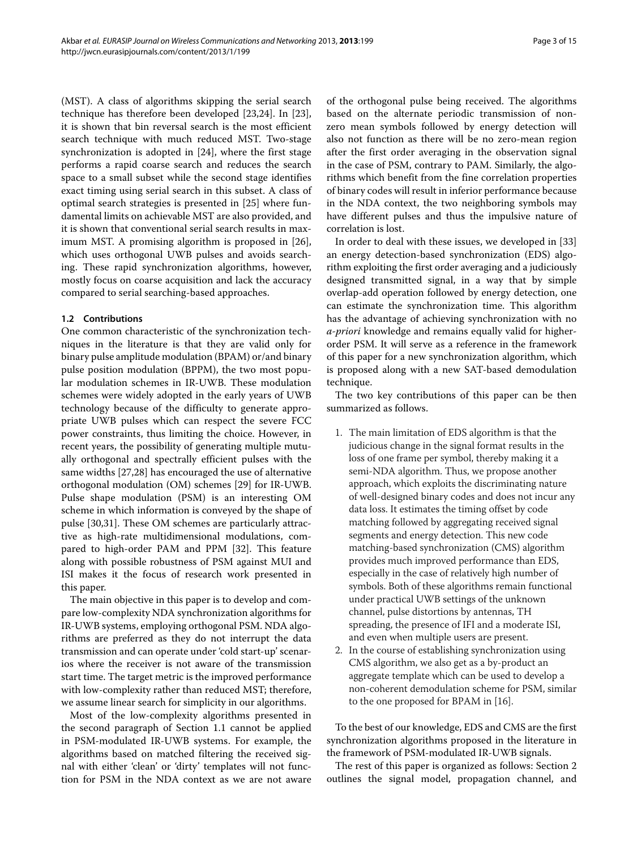(MST). A class of algorithms skipping the serial search technique has therefore been developed [\[23,](#page-13-22)[24\]](#page-13-23). In [\[23\]](#page-13-22), it is shown that bin reversal search is the most efficient search technique with much reduced MST. Two-stage synchronization is adopted in [\[24\]](#page-13-23), where the first stage performs a rapid coarse search and reduces the search space to a small subset while the second stage identifies exact timing using serial search in this subset. A class of optimal search strategies is presented in [\[25\]](#page-13-24) where fundamental limits on achievable MST are also provided, and it is shown that conventional serial search results in maximum MST. A promising algorithm is proposed in [\[26\]](#page-13-10), which uses orthogonal UWB pulses and avoids searching. These rapid synchronization algorithms, however, mostly focus on coarse acquisition and lack the accuracy compared to serial searching-based approaches.

### **1.2 Contributions**

One common characteristic of the synchronization techniques in the literature is that they are valid only for binary pulse amplitude modulation (BPAM) or/and binary pulse position modulation (BPPM), the two most popular modulation schemes in IR-UWB. These modulation schemes were widely adopted in the early years of UWB technology because of the difficulty to generate appropriate UWB pulses which can respect the severe FCC power constraints, thus limiting the choice. However, in recent years, the possibility of generating multiple mutually orthogonal and spectrally efficient pulses with the same widths [\[27](#page-13-25)[,28\]](#page-13-26) has encouraged the use of alternative orthogonal modulation (OM) schemes [\[29\]](#page-13-27) for IR-UWB. Pulse shape modulation (PSM) is an interesting OM scheme in which information is conveyed by the shape of pulse [\[30,](#page-13-28)[31\]](#page-13-29). These OM schemes are particularly attractive as high-rate multidimensional modulations, compared to high-order PAM and PPM [\[32\]](#page-13-30). This feature along with possible robustness of PSM against MUI and ISI makes it the focus of research work presented in this paper.

The main objective in this paper is to develop and compare low-complexity NDA synchronization algorithms for IR-UWB systems, employing orthogonal PSM. NDA algorithms are preferred as they do not interrupt the data transmission and can operate under 'cold start-up' scenarios where the receiver is not aware of the transmission start time. The target metric is the improved performance with low-complexity rather than reduced MST; therefore, we assume linear search for simplicity in our algorithms.

Most of the low-complexity algorithms presented in the second paragraph of Section [1.1](#page-1-0) cannot be applied in PSM-modulated IR-UWB systems. For example, the algorithms based on matched filtering the received signal with either 'clean' or 'dirty' templates will not function for PSM in the NDA context as we are not aware of the orthogonal pulse being received. The algorithms based on the alternate periodic transmission of nonzero mean symbols followed by energy detection will also not function as there will be no zero-mean region after the first order averaging in the observation signal in the case of PSM, contrary to PAM. Similarly, the algorithms which benefit from the fine correlation properties of binary codes will result in inferior performance because in the NDA context, the two neighboring symbols may have different pulses and thus the impulsive nature of correlation is lost.

In order to deal with these issues, we developed in [\[33\]](#page-13-31) an energy detection-based synchronization (EDS) algorithm exploiting the first order averaging and a judiciously designed transmitted signal, in a way that by simple overlap-add operation followed by energy detection, one can estimate the synchronization time. This algorithm has the advantage of achieving synchronization with no *a-priori* knowledge and remains equally valid for higherorder PSM. It will serve as a reference in the framework of this paper for a new synchronization algorithm, which is proposed along with a new SAT-based demodulation technique.

The two key contributions of this paper can be then summarized as follows.

- 1. The main limitation of EDS algorithm is that the judicious change in the signal format results in the loss of one frame per symbol, thereby making it a semi-NDA algorithm. Thus, we propose another approach, which exploits the discriminating nature of well-designed binary codes and does not incur any data loss. It estimates the timing offset by code matching followed by aggregating received signal segments and energy detection. This new code matching-based synchronization (CMS) algorithm provides much improved performance than EDS, especially in the case of relatively high number of symbols. Both of these algorithms remain functional under practical UWB settings of the unknown channel, pulse distortions by antennas, TH spreading, the presence of IFI and a moderate ISI, and even when multiple users are present.
- 2. In the course of establishing synchronization using CMS algorithm, we also get as a by-product an aggregate template which can be used to develop a non-coherent demodulation scheme for PSM, similar to the one proposed for BPAM in [\[16\]](#page-13-15).

To the best of our knowledge, EDS and CMS are the first synchronization algorithms proposed in the literature in the framework of PSM-modulated IR-UWB signals.

The rest of this paper is organized as follows: Section [2](#page-3-0) outlines the signal model, propagation channel, and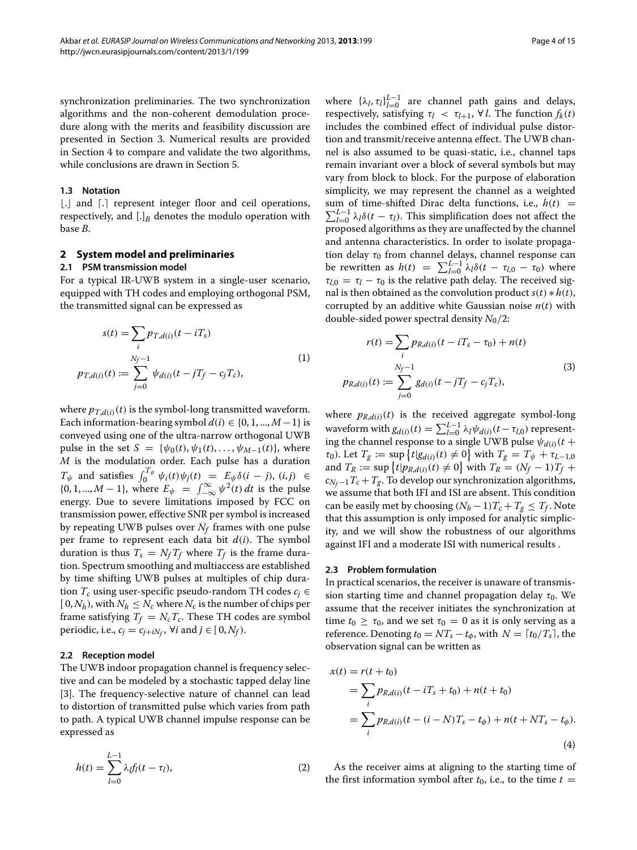synchronization preliminaries. The two synchronization algorithms and the non-coherent demodulation procedure along with the merits and feasibility discussion are presented in Section [3.](#page-4-0) Numerical results are provided in Section [4](#page-9-0) to compare and validate the two algorithms, while conclusions are drawn in Section [5.](#page-12-0)

### **1.3 Notation**

[.] and [.] represent integer floor and ceil operations, respectively, and  $[.]$ <sup>B</sup> denotes the modulo operation with base *B*.

#### <span id="page-3-0"></span>**2 System model and preliminaries**

#### **2.1 PSM transmission model**

For a typical IR-UWB system in a single-user scenario, equipped with TH codes and employing orthogonal PSM, the transmitted signal can be expressed as

$$
s(t) = \sum_{i} p_{T,d(i)}(t - iT_s)
$$
  
\n
$$
p_{T,d(i)}(t) := \sum_{j=0}^{N_f - 1} \psi_{d(i)}(t - jT_f - c_jT_c),
$$
\n(1)

where  $p_{T,d(i)}(t)$  is the symbol-long transmitted waveform. Each information-bearing symbol  $d(i) \in \{0, 1, ..., M-1\}$  is conveyed using one of the ultra-narrow orthogonal UWB pulse in the set  $S = {\psi_0(t), \psi_1(t), ..., \psi_{M-1}(t)}$ , where *M* is the modulation order. Each pulse has a duration  $T_{\psi}$  and satisfies  $\int_0^{T_{\psi}} \psi_i(t) \psi_j(t) = E_{\psi} \delta(i - j)$ ,  $(i, j) \in$ {0, 1, ..., *M* − 1}, where  $E_{\psi} = \int_{-\infty}^{\infty} \psi^2(t) dt$  is the pulse energy. Due to severe limitations imposed by FCC on transmission power, effective SNR per symbol is increased by repeating UWB pulses over  $N_f$  frames with one pulse per frame to represent each data bit  $d(i)$ . The symbol duration is thus  $T_s = N_f T_f$  where  $T_f$  is the frame duration. Spectrum smoothing and multiaccess are established by time shifting UWB pulses at multiples of chip duration  $T_c$  using user-specific pseudo-random TH codes  $c_i \in$  $[0, N_h)$ , with  $N_h \leq N_c$  where  $N_c$  is the number of chips per frame satisfying  $T_f = N_c T_c$ . These TH codes are symbol periodic, i.e.,  $c_j = c_{j+iN_f}$ ,  $\forall i$  and  $j \in [0, N_f)$ .

#### **2.2 Reception model**

The UWB indoor propagation channel is frequency selective and can be modeled by a stochastic tapped delay line [\[3\]](#page-13-2). The frequency-selective nature of channel can lead to distortion of transmitted pulse which varies from path to path. A typical UWB channel impulse response can be expressed as

$$
h(t) = \sum_{l=0}^{L-1} \lambda_l f_l(t - \tau_l),
$$
\n(2)

where  $\{\lambda_l, \tau_l\}_{l=0}^{L-1}$  are channel path gains and delays, respectively, satisfying  $\tau_l \leq \tau_{l+1}$ ,  $\forall l$ . The function  $f_k(t)$ includes the combined effect of individual pulse distortion and transmit/receive antenna effect. The UWB channel is also assumed to be quasi-static, i.e., channel taps remain invariant over a block of several symbols but may vary from block to block. For the purpose of elaboration simplicity, we may represent the channel as a weighted sum of time-shifted Dirac delta functions, i.e.,  $h(t)$  = sum of time-shifted Dirac delta functions, i.e.,  $h(t) = \sum_{l=0}^{L-1} \lambda_l \delta(t - \tau_l)$ . This simplification does not affect the proposed algorithms as they are unaffected by the channel and antenna characteristics. In order to isolate propagation delay *τ*<sub>0</sub> from channel delays, channel response can be rewritten as *h*(*t*) =  $\sum_{l=0}^{L-1} \lambda_l δ(t - τ_{l,0} - τ_0)$  where  $\tau_{l,0} = \tau_l - \tau_0$  is the relative path delay. The received signal is then obtained as the convolution product  $s(t) * h(t)$ , corrupted by an additive white Gaussian noise  $n(t)$  with double-sided power spectral density  $N_0/2$ :

<span id="page-3-1"></span>
$$
r(t) = \sum_{i} p_{R,d(i)}(t - iT_s - \tau_0) + n(t)
$$
  
\n
$$
p_{R,d(i)}(t) := \sum_{j=0}^{N_f-1} g_{d(i)}(t - jT_f - c_jT_c),
$$
\n(3)

where  $p_{R,d(i)}(t)$  is the received aggregate symbol-long waveform with  $g_{d(i)}(t) = \sum_{l=0}^{L-1} \lambda_l \psi_{d(i)}(t - \tau_{l,0})$  representing the channel response to a single UWB pulse  $\psi_{d(i)}(t +$ *τ*<sub>0</sub>). Let  $T_g := \sup \{ t | g_{d(i)}(t) \neq 0 \}$  with  $T_g = T_{\psi} + \tau_{L-1,0}$ and  $T_R := \sup \{ t | p_{R,d(i)}(t) \neq 0 \}$  with  $T_R = (N_f - 1)T_f +$  $c_{N_f-1}T_c+T_g$ . To develop our synchronization algorithms, we assume that both IFI and ISI are absent. This condition can be easily met by choosing  $(N_h - 1)T_c + T_g \leq T_f$ . Note that this assumption is only imposed for analytic simplicity, and we will show the robustness of our algorithms against IFI and a moderate ISI with numerical results .

#### **2.3 Problem formulation**

In practical scenarios, the receiver is unaware of transmission starting time and channel propagation delay *τ*<sub>0</sub>. We assume that the receiver initiates the synchronization at time  $t_0 \geq \tau_0$ , and we set  $\tau_0 = 0$  as it is only serving as a reference. Denoting  $t_0 = NT_s - t_\phi$ , with  $N = \lceil t_0/T_s \rceil$ , the observation signal can be written as

$$
x(t) = r(t + t_0)
$$
  
=  $\sum_{i} p_{R,d(i)}(t - iT_s + t_0) + n(t + t_0)$   
=  $\sum_{i} p_{R,d(i)}(t - (i - N)T_s - t_{\phi}) + n(t + NT_s - t_{\phi}).$  (4)

As the receiver aims at aligning to the starting time of the first information symbol after  $t_0$ , i.e., to the time  $t =$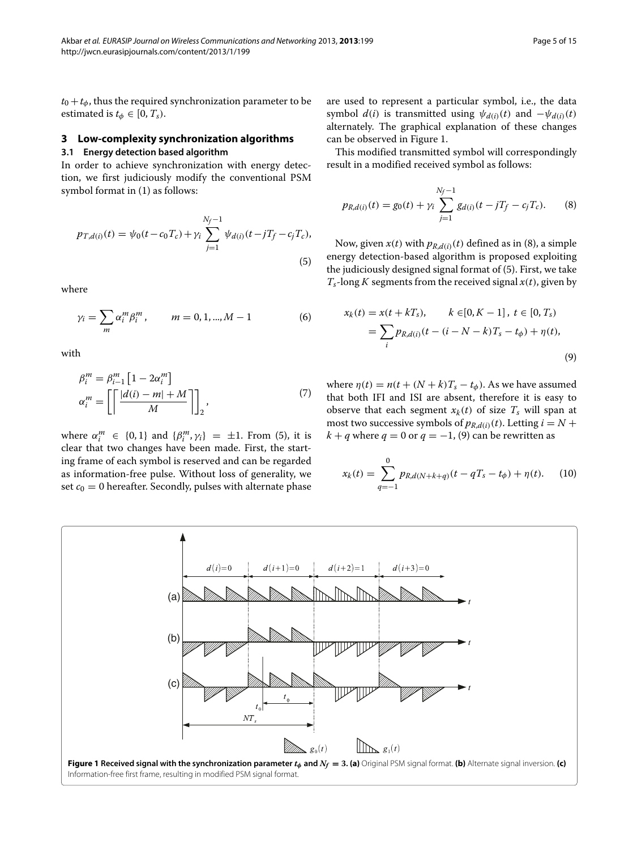# <span id="page-4-0"></span>**3 Low-complexity synchronization algorithms**

# **3.1 Energy detection based algorithm**

In order to achieve synchronization with energy detection, we first judiciously modify the conventional PSM symbol format in [\(1\)](#page-3-1) as follows:

<span id="page-4-1"></span>
$$
p_{T,d(i)}(t) = \psi_0(t - c_0 T_c) + \gamma_i \sum_{j=1}^{N_f - 1} \psi_{d(i)}(t - jT_f - c_j T_c),
$$
\n(5)

<span id="page-4-6"></span>where

$$
\gamma_i = \sum_m \alpha_i^m \beta_i^m, \qquad m = 0, 1, ..., M - 1 \tag{6}
$$

<span id="page-4-5"></span>with

$$
\beta_i^m = \beta_{i-1}^m \left[ 1 - 2\alpha_i^m \right]
$$
  

$$
\alpha_i^m = \left[ \left\lceil \frac{|d(i) - m| + M}{M} \right\rceil \right]_2,
$$
 (7)

where  $\alpha_i^m \in \{0, 1\}$  and  $\{\beta_i^m, \gamma_i\} = \pm 1$ . From [\(5\)](#page-4-1), it is clear that two changes have been made. First, the starting frame of each symbol is reserved and can be regarded as information-free pulse. Without loss of generality, we set  $c_0 = 0$  hereafter. Secondly, pulses with alternate phase are used to represent a particular symbol, i.e., the data symbol  $d(i)$  is transmitted using  $\psi_{d(i)}(t)$  and  $-\psi_{d(i)}(t)$ alternately. The graphical explanation of these changes can be observed in Figure [1.](#page-4-2)

This modified transmitted symbol will correspondingly result in a modified received symbol as follows:

<span id="page-4-3"></span>
$$
p_{R,d(i)}(t) = g_0(t) + \gamma_i \sum_{j=1}^{N_f-1} g_{d(i)}(t - jT_f - c_jT_c).
$$
 (8)

Now, given  $x(t)$  with  $p_{R,d(i)}(t)$  defined as in [\(8\)](#page-4-3), a simple energy detection-based algorithm is proposed exploiting the judiciously designed signal format of [\(5\)](#page-4-1). First, we take  $T_s$ -long *K* segments from the received signal  $x(t)$ , given by

<span id="page-4-4"></span>
$$
x_k(t) = x(t + kT_s), \qquad k \in [0, K - 1], \ t \in [0, T_s)
$$
  
= 
$$
\sum_i p_{R,d(i)}(t - (i - N - k)T_s - t_{\phi}) + \eta(t),
$$
  
(9)

where  $\eta(t) = n(t + (N + k)T_s - t_\phi)$ . As we have assumed that both IFI and ISI are absent, therefore it is easy to observe that each segment  $x_k(t)$  of size  $T_s$  will span at most two successive symbols of  $p_{R,d(i)}(t)$ . Letting  $i = N +$  $k + q$  where  $q = 0$  or  $q = -1$ , [\(9\)](#page-4-4) can be rewritten as

$$
x_k(t) = \sum_{q=-1}^{0} p_{R,d(N+k+q)}(t - qT_s - t_{\phi}) + \eta(t). \tag{10}
$$

<span id="page-4-2"></span>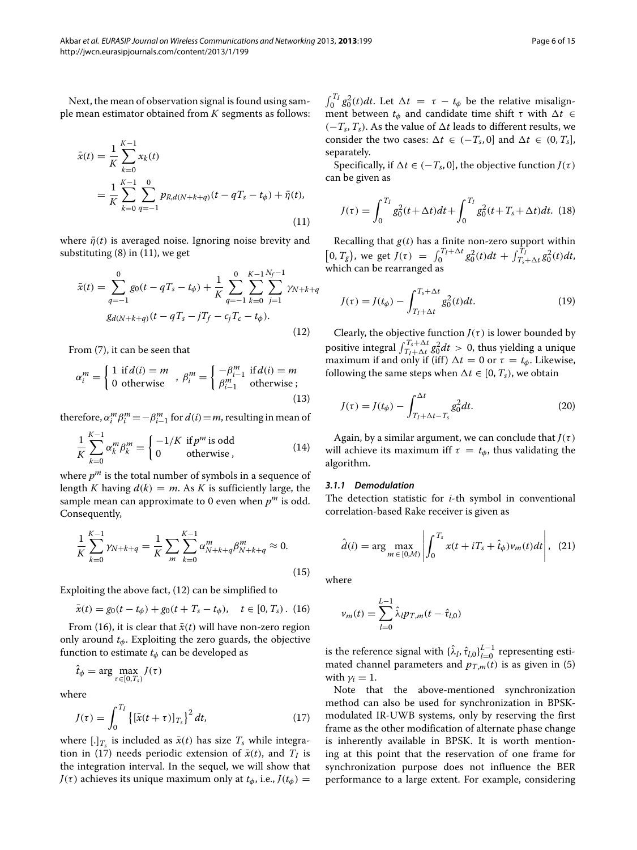<span id="page-5-0"></span>Next, the mean of observation signal is found using sample mean estimator obtained from *K* segments as follows:

$$
\bar{x}(t) = \frac{1}{K} \sum_{k=0}^{K-1} x_k(t)
$$
\n
$$
= \frac{1}{K} \sum_{k=0}^{K-1} \sum_{q=-1}^{0} p_{R,d(N+k+q)}(t - qT_s - t_\phi) + \bar{\eta}(t),
$$
\n(11)

where  $\bar{\eta}(t)$  is averaged noise. Ignoring noise brevity and substituting [\(8\)](#page-4-3) in [\(11\)](#page-5-0), we get

<span id="page-5-1"></span>
$$
\bar{x}(t) = \sum_{q=-1}^{0} g_0(t - qT_s - t_{\phi}) + \frac{1}{K} \sum_{q=-1}^{0} \sum_{k=0}^{K-1} \sum_{j=1}^{N_f-1} \gamma_{N+k+q}
$$
  

$$
g_{d(N+k+q)}(t - qT_s - jT_f - c_jT_c - t_{\phi}).
$$
\n(12)

From [\(7\)](#page-4-5), it can be seen that

$$
\alpha_i^m = \begin{cases} 1 & \text{if } d(i) = m \\ 0 & \text{otherwise} \end{cases}, \ \beta_i^m = \begin{cases} -\beta_{i-1}^m & \text{if } d(i) = m \\ \beta_{i-1}^m & \text{otherwise} \end{cases}
$$
(13)

therefore,  $\alpha_i^m \beta_i^m = -\beta_{i-1}^m$  for  $d(i) = m$ , resulting in mean of

$$
\frac{1}{K} \sum_{k=0}^{K-1} \alpha_k^m \beta_k^m = \begin{cases} -1/K & \text{if } p^m \text{ is odd} \\ 0 & \text{otherwise} \end{cases} \tag{14}
$$

where  $p^m$  is the total number of symbols in a sequence of length *K* having  $d(k) = m$ . As *K* is sufficiently large, the sample mean can approximate to 0 even when  $p^m$  is odd. Consequently,

$$
\frac{1}{K} \sum_{k=0}^{K-1} \gamma_{N+k+q} = \frac{1}{K} \sum_{m} \sum_{k=0}^{K-1} \alpha_{N+k+q}^{m} \beta_{N+k+q}^{m} \approx 0.
$$
\n(15)

Exploiting the above fact, [\(12\)](#page-5-1) can be simplified to

$$
\bar{x}(t) = g_0(t - t_{\phi}) + g_0(t + T_s - t_{\phi}), \quad t \in [0, T_s). \tag{16}
$$

From [\(16\)](#page-5-2), it is clear that  $\bar{x}(t)$  will have non-zero region only around *tφ*. Exploiting the zero guards, the objective function to estimate  $t_{\phi}$  can be developed as

 $\hat{t}_{\phi} = \arg \max_{\tau \in [0, T_s)} J(\tau)$ 

where

<span id="page-5-3"></span>
$$
J(\tau) = \int_0^{T_I} \left\{ \left[ \bar{x}(t+\tau) \right]_{T_s} \right\}^2 dt, \tag{17}
$$

where  $[.]_{T_s}$  is included as  $\bar{x}(t)$  has size  $T_s$  while integra-tion in [\(17\)](#page-5-3) needs periodic extension of  $\bar{x}(t)$ , and  $T_I$  is the integration interval. In the sequel, we will show that *J*( $\tau$ ) achieves its unique maximum only at  $t_{\phi}$ , i.e.,  $J(t_{\phi}) =$ 

 $\int_0^{T_I} g_0^2(t) dt$ . Let  $\Delta t = \tau - t_\phi$  be the relative misalignment between  $t$ <sup> $\phi$ </sup> and candidate time shift  $\tau$  with  $\Delta t \in$  $(-T_s, T_s)$ . As the value of  $∆t$  leads to different results, we consider the two cases:  $\Delta t \in (-T_s, 0]$  and  $\Delta t \in (0, T_s]$ , separately.

Specifically, if  $\Delta t \in (-T_s, 0]$ , the objective function  $J(\tau)$ can be given as

$$
J(\tau) = \int_0^{T_I} g_0^2(t + \Delta t)dt + \int_0^{T_I} g_0^2(t + T_s + \Delta t)dt.
$$
 (18)

Recalling that  $g(t)$  has a finite non-zero support within  $[0, T_g]$ , we get  $J(\tau) = \int_0^{T_I + \Delta t} g_0^2(t) dt + \int_{T_s + \Delta t}^{T_I} g_0^2(t) dt$ , which can be rearranged as

$$
J(\tau) = J(t_{\phi}) - \int_{T_I + \Delta t}^{T_s + \Delta t} g_0^2(t) dt.
$$
 (19)

Clearly, the objective function  $J(\tau)$  is lower bounded by positive integral  $\int_{T_I + \Delta t}^{T_s + \Delta t} g_0^2 dt > 0$ , thus yielding a unique maximum if and only if (iff)  $\Delta t = 0$  or  $\tau = t_{\phi}$ . Likewise, following the same steps when  $\Delta t \in [0, T_s)$ , we obtain

$$
J(\tau) = J(t_{\phi}) - \int_{T_I + \Delta t - T_s}^{\Delta t} g_0^2 dt.
$$
 (20)

Again, by a similar argument, we can conclude that  $J(\tau)$ will achieve its maximum iff  $\tau = t_{\phi}$ , thus validating the algorithm.

#### *3.1.1 Demodulation*

The detection statistic for *i*-th symbol in conventional correlation-based Rake receiver is given as

<span id="page-5-4"></span>
$$
\hat{d}(i) = \arg \max_{m \in [0,M)} \left| \int_0^{T_s} x(t + iT_s + \hat{t}_{\phi}) \nu_m(t) dt \right|, (21)
$$

<span id="page-5-2"></span>where

$$
v_m(t) = \sum_{l=0}^{L-1} \hat{\lambda}_l p_{T,m}(t - \hat{\tau}_{l,0})
$$

is the reference signal with  $\{\hat{\lambda}_l, \hat{\tau}_{l,0}\}_{l=0}^{L-1}$  representing estimated channel parameters and  $p_{T,m}(t)$  is as given in [\(5\)](#page-4-1) with  $\gamma_i = 1$ .

Note that the above-mentioned synchronization method can also be used for synchronization in BPSKmodulated IR-UWB systems, only by reserving the first frame as the other modification of alternate phase change is inherently available in BPSK. It is worth mentioning at this point that the reservation of one frame for synchronization purpose does not influence the BER performance to a large extent. For example, considering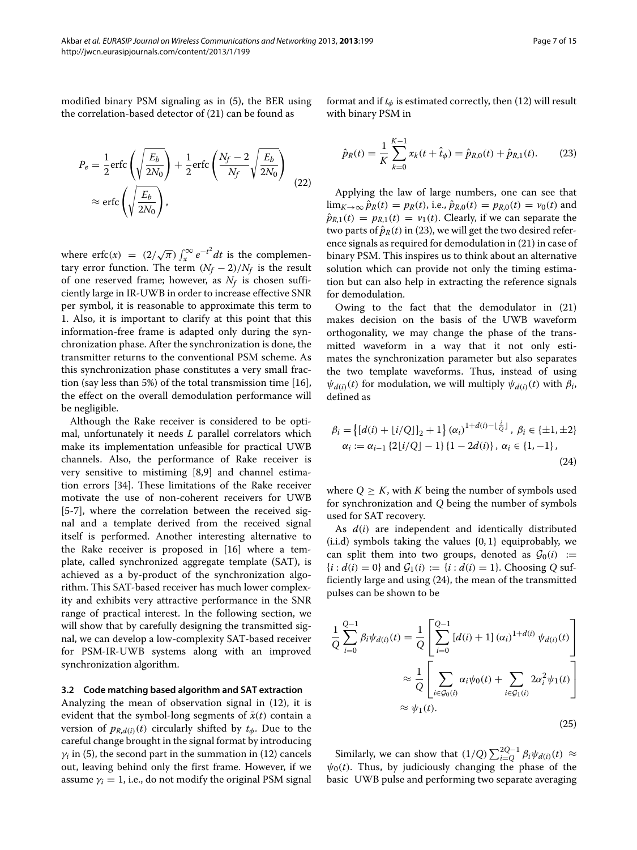modified binary PSM signaling as in [\(5\)](#page-4-1), the BER using the correlation-based detector of [\(21\)](#page-5-4) can be found as

$$
P_e = \frac{1}{2} \text{erfc}\left(\sqrt{\frac{E_b}{2N_0}}\right) + \frac{1}{2} \text{erfc}\left(\frac{N_f - 2}{N_f} \sqrt{\frac{E_b}{2N_0}}\right)
$$
  

$$
\approx \text{erfc}\left(\sqrt{\frac{E_b}{2N_0}}\right),
$$
 (22)

where erfc(*x*) =  $(2/\sqrt{\pi}) \int_x^{\infty} e^{-t^2} dt$  is the complementary error function. The term  $(N_f - 2)/N_f$  is the result of one reserved frame; however, as  $N_f$  is chosen sufficiently large in IR-UWB in order to increase effective SNR per symbol, it is reasonable to approximate this term to 1. Also, it is important to clarify at this point that this information-free frame is adapted only during the synchronization phase. After the synchronization is done, the transmitter returns to the conventional PSM scheme. As this synchronization phase constitutes a very small fraction (say less than 5%) of the total transmission time [\[16\]](#page-13-15), the effect on the overall demodulation performance will be negligible.

Although the Rake receiver is considered to be optimal, unfortunately it needs *L* parallel correlators which make its implementation unfeasible for practical UWB channels. Also, the performance of Rake receiver is very sensitive to mistiming [\[8](#page-13-7)[,9\]](#page-13-32) and channel estimation errors [\[34\]](#page-14-0). These limitations of the Rake receiver motivate the use of non-coherent receivers for UWB [\[5](#page-13-4)[-7\]](#page-13-6), where the correlation between the received signal and a template derived from the received signal itself is performed. Another interesting alternative to the Rake receiver is proposed in [\[16\]](#page-13-15) where a template, called synchronized aggregate template (SAT), is achieved as a by-product of the synchronization algorithm. This SAT-based receiver has much lower complexity and exhibits very attractive performance in the SNR range of practical interest. In the following section, we will show that by carefully designing the transmitted signal, we can develop a low-complexity SAT-based receiver for PSM-IR-UWB systems along with an improved synchronization algorithm.

#### **3.2 Code matching based algorithm and SAT extraction**

Analyzing the mean of observation signal in [\(12\)](#page-5-1), it is evident that the symbol-long segments of  $\bar{x}(t)$  contain a version of  $p_{R,d(i)}(t)$  circularly shifted by  $t_{\phi}$ . Due to the careful change brought in the signal format by introducing  $\gamma$ *i* in [\(5\)](#page-4-1), the second part in the summation in [\(12\)](#page-5-1) cancels out, leaving behind only the first frame. However, if we assume  $\gamma_i = 1$ , i.e., do not modify the original PSM signal format and if  $t_{\phi}$  is estimated correctly, then [\(12\)](#page-5-1) will result with binary PSM in

<span id="page-6-0"></span>
$$
\hat{p}_R(t) = \frac{1}{K} \sum_{k=0}^{K-1} x_k(t + \hat{t}_{\phi}) = \hat{p}_{R,0}(t) + \hat{p}_{R,1}(t). \tag{23}
$$

Applying the law of large numbers, one can see that  $\lim_{K \to \infty} \hat{p}_R(t) = p_R(t)$ , i.e.,  $\hat{p}_{R,0}(t) = p_{R,0}(t) = v_0(t)$  and  $\hat{p}_{R,1}(t) = p_{R,1}(t) = v_1(t)$ . Clearly, if we can separate the two parts of  $\hat{p}_R(t)$  in [\(23\)](#page-6-0), we will get the two desired reference signals as required for demodulation in [\(21\)](#page-5-4) in case of binary PSM. This inspires us to think about an alternative solution which can provide not only the timing estimation but can also help in extracting the reference signals for demodulation.

Owing to the fact that the demodulator in [\(21\)](#page-5-4) makes decision on the basis of the UWB waveform orthogonality, we may change the phase of the transmitted waveform in a way that it not only estimates the synchronization parameter but also separates the two template waveforms. Thus, instead of using  $ψ$ *<sup><i>d*(*i*)</sub>(*t*) for modulation, we will multiply  $ψ$ <sub>*d*(*i*)</sub>(*t*) with  $β$ *i*,</sup> defined as

<span id="page-6-1"></span>
$$
\beta_{i} = \left\{ [d(i) + \lfloor i/Q \rfloor]_{2} + 1 \right\} (\alpha_{i})^{1 + d(i) - \lfloor \frac{i}{Q} \rfloor}, \ \beta_{i} \in \{\pm 1, \pm 2\} \alpha_{i} := \alpha_{i-1} \left\{ 2\lfloor i/Q \rfloor - 1 \right\} \{ 1 - 2d(i) \}, \ \alpha_{i} \in \{1, -1\},
$$
\n(24)

where  $Q > K$ , with K being the number of symbols used for synchronization and *Q* being the number of symbols used for SAT recovery.

As *d(i)* are independent and identically distributed (i.i.d) symbols taking the values {0, 1} equiprobably, we can split them into two groups, denoted as  $\mathcal{G}_0(i) :=$  ${i : d(i) = 0}$  and  $\mathcal{G}_1(i) := {i : d(i) = 1}$ . Choosing *Q* sufficiently large and using [\(24\)](#page-6-1), the mean of the transmitted pulses can be shown to be

<span id="page-6-2"></span>
$$
\frac{1}{Q} \sum_{i=0}^{Q-1} \beta_i \psi_{d(i)}(t) = \frac{1}{Q} \left[ \sum_{i=0}^{Q-1} \left[ d(i) + 1 \right] (\alpha_i)^{1 + d(i)} \psi_{d(i)}(t) \right]
$$

$$
\approx \frac{1}{Q} \left[ \sum_{i \in \mathcal{G}_0(i)} \alpha_i \psi_0(t) + \sum_{i \in \mathcal{G}_1(i)} 2\alpha_i^2 \psi_1(t) \right]
$$

$$
\approx \psi_1(t).
$$
\n(25)

Similarly, we can show that  $(1/Q) \sum_{i=0}^{2Q-1} \beta_i \psi_{d(i)}(t) \approx$  $\psi_0(t)$ . Thus, by judiciously changing the phase of the basic UWB pulse and performing two separate averaging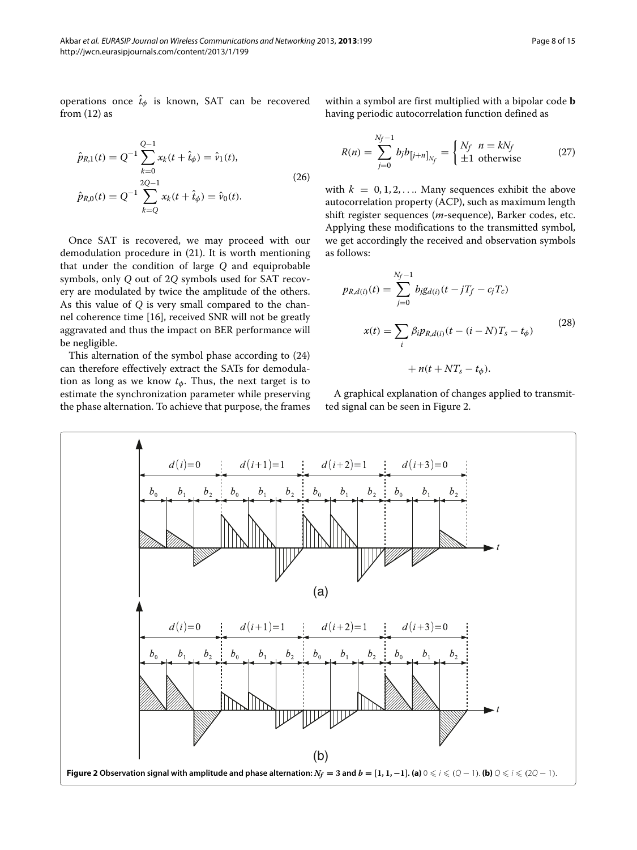operations once  $\hat{t}_{\phi}$  is known, SAT can be recovered from  $(12)$  as

<span id="page-7-3"></span>
$$
\hat{p}_{R,1}(t) = Q^{-1} \sum_{k=0}^{Q-1} x_k(t + \hat{t}_{\phi}) = \hat{v}_1(t),
$$
\n
$$
\hat{p}_{R,0}(t) = Q^{-1} \sum_{k=Q}^{2Q-1} x_k(t + \hat{t}_{\phi}) = \hat{v}_0(t).
$$
\n(26)

Once SAT is recovered, we may proceed with our demodulation procedure in [\(21\)](#page-5-4). It is worth mentioning that under the condition of large *Q* and equiprobable symbols, only *Q* out of 2*Q* symbols used for SAT recovery are modulated by twice the amplitude of the others. As this value of *Q* is very small compared to the channel coherence time [\[16\]](#page-13-15), received SNR will not be greatly aggravated and thus the impact on BER performance will be negligible.

This alternation of the symbol phase according to [\(24\)](#page-6-1) can therefore effectively extract the SATs for demodulation as long as we know *tφ*. Thus, the next target is to estimate the synchronization parameter while preserving the phase alternation. To achieve that purpose, the frames

within a symbol are first multiplied with a bipolar code **b** having periodic autocorrelation function defined as

<span id="page-7-2"></span>
$$
R(n) = \sum_{j=0}^{N_f - 1} b_j b_{\left[j+n\right]_{N_f}} = \begin{cases} N_f & n = k N_f \\ \pm 1 & \text{otherwise} \end{cases} \tag{27}
$$

with  $k = 0, 1, 2, \ldots$  Many sequences exhibit the above autocorrelation property (ACP), such as maximum length shift register sequences (*m*-sequence), Barker codes, etc. Applying these modifications to the transmitted symbol, we get accordingly the received and observation symbols as follows:

<span id="page-7-1"></span>
$$
p_{R,d(i)}(t) = \sum_{j=0}^{N_f-1} b_j g_{d(i)}(t - jT_f - c_j T_c)
$$
  

$$
x(t) = \sum_i \beta_i p_{R,d(i)}(t - (i - N)T_s - t_{\phi})
$$
  

$$
+ n(t + NT_s - t_{\phi}).
$$
 (28)

A graphical explanation of changes applied to transmitted signal can be seen in Figure [2.](#page-7-0)

<span id="page-7-0"></span>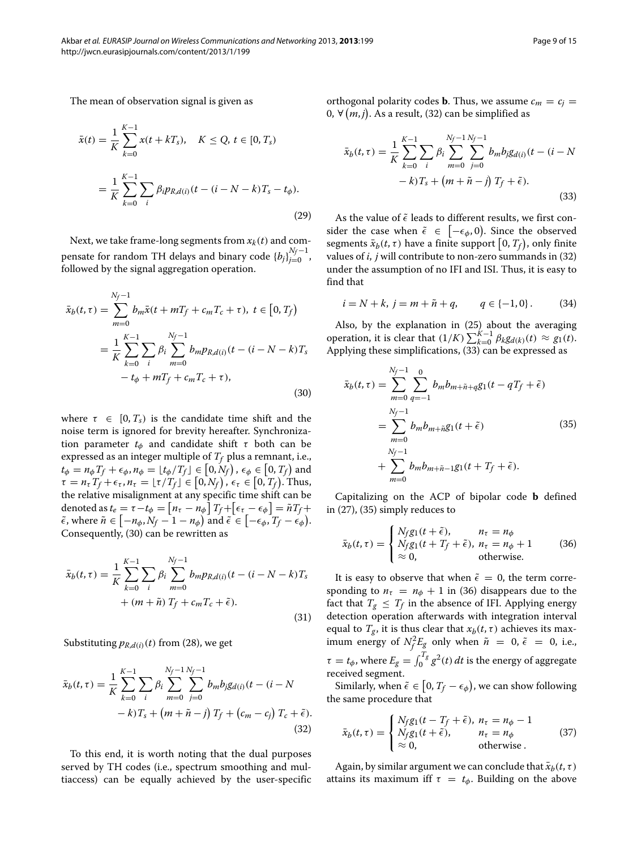The mean of observation signal is given as

$$
\bar{x}(t) = \frac{1}{K} \sum_{k=0}^{K-1} x(t + kT_s), \quad K \le Q, \, t \in [0, T_s)
$$
\n
$$
= \frac{1}{K} \sum_{k=0}^{K-1} \sum_{i} \beta_i p_{R,d(i)}(t - (i - N - k)T_s - t_\phi).
$$
\n(29)

Next, we take frame-long segments from  $x_k(t)$  and compensate for random TH delays and binary code  ${b_j}_{j=0}^{N_f-1}$ , followed by the signal aggregation operation.

$$
\bar{x}_{b}(t,\tau) = \sum_{m=0}^{N_{f}-1} b_{m}\bar{x}(t+mT_{f}+c_{m}T_{c}+\tau), t \in [0, T_{f})
$$
\n
$$
= \frac{1}{K} \sum_{k=0}^{K-1} \sum_{i} \beta_{i} \sum_{m=0}^{N_{f}-1} b_{m}p_{R,d(i)}(t-(i-N-k)T_{s}) - t_{\phi} + mT_{f} + c_{m}T_{c}+\tau),
$$
\n(30)

where  $\tau \in [0, T_s)$  is the candidate time shift and the noise term is ignored for brevity hereafter. Synchronization parameter  $t_{\phi}$  and candidate shift  $\tau$  both can be expressed as an integer multiple of  $T_f$  plus a remnant, i.e.,  $t_{\phi} = n_{\phi} T_f + \epsilon_{\phi}, n_{\phi} = \lfloor t_{\phi} / T_f \rfloor \in \left[ 0, N_f \right), \, \epsilon_{\phi} \in \left[ 0, T_f \right)$  and  $\tau = n_{\tau} T_f + \epsilon_{\tau}, n_{\tau} = \lfloor \tau / T_f \rfloor \in [0, N_f), \ \epsilon_{\tau} \in [0, T_f).$  Thus, the relative misalignment at any specific time shift can be denoted as  $t_e = \tau - t_\phi = \left[ n_\tau - n_\phi \right] T_f + \left[ \epsilon_\tau - \epsilon_\phi \right] = \tilde{n} T_f + \epsilon$  $\tilde{\epsilon}$ , where  $\tilde{n} \in [-n_{\phi}, N_f - 1 - n_{\phi})$  and  $\tilde{\epsilon} \in [-\epsilon_{\phi}, T_f - \epsilon_{\phi})$ . Consequently, [\(30\)](#page-8-0) can be rewritten as

$$
\bar{x}_{b}(t,\tau) = \frac{1}{K} \sum_{k=0}^{K-1} \sum_{i} \beta_{i} \sum_{m=0}^{N_{f}-1} b_{m} p_{R,d(i)}(t - (i - N - k)T_{s} + (m + \tilde{n}) T_{f} + c_{m} T_{c} + \tilde{\epsilon}).
$$
\n(31)

Substituting  $p_{R,d(i)}(t)$  from [\(28\)](#page-7-1), we get

$$
\bar{x}_{b}(t,\tau) = \frac{1}{K} \sum_{k=0}^{K-1} \sum_{i} \beta_{i} \sum_{m=0}^{N_{f}-1} \sum_{j=0}^{N_{f}-1} b_{m} b_{j} g_{d(i)}(t - (i - N - k)T_{s} + (m + \tilde{n} - j) T_{f} + (c_{m} - c_{j}) T_{c} + \tilde{\epsilon}).
$$
\n(32)

To this end, it is worth noting that the dual purposes served by TH codes (i.e., spectrum smoothing and multiaccess) can be equally achieved by the user-specific <span id="page-8-5"></span>orthogonal polarity codes **b**. Thus, we assume  $c_m = c_j$ 0, ∀  $(m, j)$ . As a result, [\(32\)](#page-8-1) can be simplified as

<span id="page-8-2"></span>
$$
\bar{x}_{b}(t,\tau) = \frac{1}{K} \sum_{k=0}^{K-1} \sum_{i} \beta_{i} \sum_{m=0}^{N_{f}-1} \sum_{j=0}^{N_{f}-1} b_{m} b_{j} g_{d(i)}(t - (i - N - k)T_{s} + (m + \tilde{n} - j) T_{f} + \tilde{\epsilon}).
$$
\n(33)

<span id="page-8-0"></span>As the value of  $\tilde{\epsilon}$  leads to different results, we first consider the case when  $\tilde{\epsilon} \in [-\epsilon_{\phi}, 0]$ . Since the observed  $\text{segments } \bar{x}_b(t, \tau)$  have a finite support  $\big[0, T_f\big)$ , only finite values of *i*, *j* will contribute to non-zero summands in [\(32\)](#page-8-1) under the assumption of no IFI and ISI. Thus, it is easy to find that

$$
i = N + k
$$
,  $j = m + \tilde{n} + q$ ,  $q \in \{-1, 0\}$ . (34)

Also, by the explanation in [\(25\)](#page-6-2) about the averaging  $\sum_{k=0}^{K-1} \beta_k g_{d(k)}(t) \approx g_1(t).$  *Reset that*  $(1/K) \sum_{k=0}^{K-1} \beta_k g_{d(k)}(t) \approx g_1(t).$ Applying these simplifications,  $\overline{33}$  can be expressed as

<span id="page-8-3"></span>
$$
\bar{x}_{b}(t,\tau) = \sum_{m=0}^{N_{f}-1} \sum_{q=-1}^{0} b_{m}b_{m+\tilde{n}+q}g_{1}(t-qT_{f}+\tilde{\epsilon})
$$
\n
$$
= \sum_{m=0}^{N_{f}-1} b_{m}b_{m+\tilde{n}}g_{1}(t+\tilde{\epsilon})
$$
\n
$$
+ \sum_{m=0}^{N_{f}-1} b_{m}b_{m+\tilde{n}-1}g_{1}(t+T_{f}+\tilde{\epsilon}).
$$
\n(35)

Capitalizing on the ACP of bipolar code **b** defined in [\(27\)](#page-7-2), [\(35\)](#page-8-3) simply reduces to

<span id="page-8-4"></span>
$$
\bar{x}_b(t,\tau) = \begin{cases}\nN_f g_1(t+\tilde{\epsilon}), & n_\tau = n_\phi \\
N_f g_1(t+T_f+\tilde{\epsilon}), & n_\tau = n_\phi + 1 \\
\approx 0, & \text{otherwise.} \n\end{cases}
$$
\n(36)

It is easy to observe that when  $\tilde{\epsilon} = 0$ , the term corresponding to  $n<sub>\tau</sub> = n<sub>\phi</sub> + 1$  in [\(36\)](#page-8-4) disappears due to the fact that  $T_g \leq T_f$  in the absence of IFI. Applying energy detection operation afterwards with integration interval equal to  $T_g$ , it is thus clear that  $x_b(t, \tau)$  achieves its maximum energy of  $N_f^2 E_g$  only when  $\tilde{n} = 0$ ,  $\tilde{\epsilon} = 0$ , i.e.,  $\tau = t_{\phi}$ , where  $E_{g} = \int_{0}^{T_{g}} g^{2}(t) dt$  is the energy of aggregate received segment.

<span id="page-8-1"></span>Similarly, when  $\tilde{\epsilon} \in \left[0, T_f - \epsilon_{\phi}\right)$ , we can show following the same procedure that

$$
\bar{x}_b(t,\tau) = \begin{cases} N_f g_1(t - T_f + \tilde{\epsilon}), & n_\tau = n_\phi - 1 \\ N_f g_1(t + \tilde{\epsilon}), & n_\tau = n_\phi \\ \approx 0, & \text{otherwise} \end{cases}
$$
(37)

Again, by similar argument we can conclude that  $\bar{x}_b(t, \tau)$ attains its maximum iff  $\tau = t_{\phi}$ . Building on the above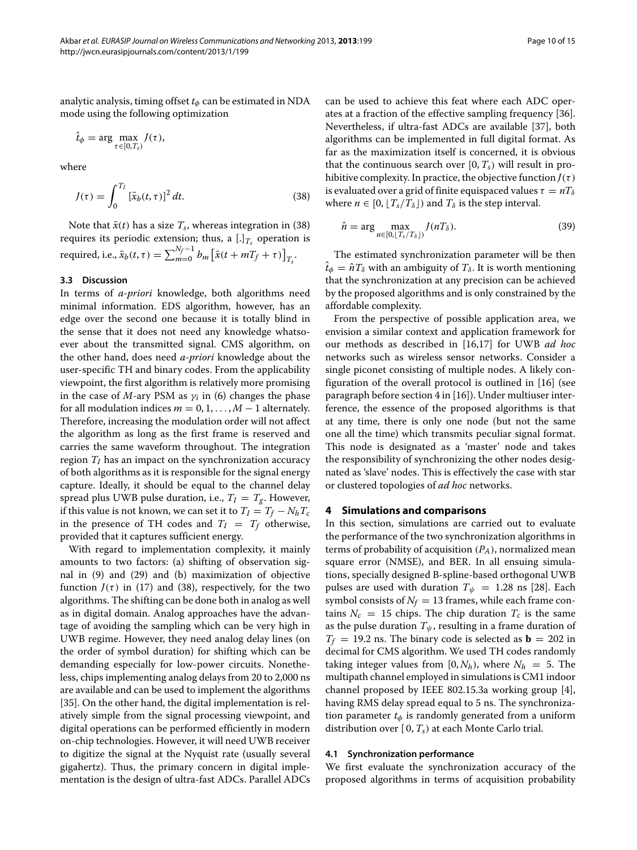analytic analysis, timing offset *tφ* can be estimated in NDA mode using the following optimization

$$
\hat{t}_{\phi} = \arg \max_{\tau \in [0, T_s)} J(\tau),
$$

where

<span id="page-9-1"></span>
$$
J(\tau) = \int_0^{T_I} \left[\bar{x}_b(t,\tau)\right]^2 dt. \tag{38}
$$

Note that  $\bar{x}(t)$  has a size  $T_s$ , whereas integration in [\(38\)](#page-9-1) requires its periodic extension; thus, a  $[.]_{T_s}$  operation is  $\text{required, i.e., } \bar{x}_b(t, \tau) = \sum_{m=0}^{N_f-1} b_m \left[ \bar{x}(t + mT_f + \tau) \right]_{T_s}.$ 

#### **3.3 Discussion**

In terms of *a-priori* knowledge, both algorithms need minimal information. EDS algorithm, however, has an edge over the second one because it is totally blind in the sense that it does not need any knowledge whatsoever about the transmitted signal. CMS algorithm, on the other hand, does need *a-priori* knowledge about the user-specific TH and binary codes. From the applicability viewpoint, the first algorithm is relatively more promising in the case of *M*-ary PSM as  $\gamma_i$  in [\(6\)](#page-4-6) changes the phase for all modulation indices  $m = 0, 1, \ldots, M - 1$  alternately. Therefore, increasing the modulation order will not affect the algorithm as long as the first frame is reserved and carries the same waveform throughout. The integration region  $T_I$  has an impact on the synchronization accuracy of both algorithms as it is responsible for the signal energy capture. Ideally, it should be equal to the channel delay spread plus UWB pulse duration, i.e.,  $T_I = T_g$ . However, if this value is not known, we can set it to  $T_I = T_f - N_h T_c$ in the presence of TH codes and  $T_I = T_f$  otherwise, provided that it captures sufficient energy.

With regard to implementation complexity, it mainly amounts to two factors: (a) shifting of observation signal in [\(9\)](#page-4-4) and [\(29\)](#page-8-5) and (b) maximization of objective function  $J(\tau)$  in [\(17\)](#page-5-3) and [\(38\)](#page-9-1), respectively, for the two algorithms. The shifting can be done both in analog as well as in digital domain. Analog approaches have the advantage of avoiding the sampling which can be very high in UWB regime. However, they need analog delay lines (on the order of symbol duration) for shifting which can be demanding especially for low-power circuits. Nonetheless, chips implementing analog delays from 20 to 2,000 ns are available and can be used to implement the algorithms [\[35\]](#page-14-1). On the other hand, the digital implementation is relatively simple from the signal processing viewpoint, and digital operations can be performed efficiently in modern on-chip technologies. However, it will need UWB receiver to digitize the signal at the Nyquist rate (usually several gigahertz). Thus, the primary concern in digital implementation is the design of ultra-fast ADCs. Parallel ADCs

can be used to achieve this feat where each ADC operates at a fraction of the effective sampling frequency [\[36\]](#page-14-2). Nevertheless, if ultra-fast ADCs are available [\[37\]](#page-14-3), both algorithms can be implemented in full digital format. As far as the maximization itself is concerned, it is obvious that the continuous search over  $[0, T_s)$  will result in prohibitive complexity. In practice, the objective function  $J(\tau)$ is evaluated over a grid of finite equispaced values  $\tau = nT_\delta$ where  $n \in [0, \lfloor T_s/T_\delta \rfloor)$  and  $T_\delta$  is the step interval.

$$
\hat{n} = \arg\max_{n \in [0, \lfloor T_s/T_\delta \rfloor)} J(nT_\delta). \tag{39}
$$

The estimated synchronization parameter will be then  $\hat{t}_{\phi} = \hat{n} T_{\delta}$  with an ambiguity of  $T_{\delta}$ . It is worth mentioning that the synchronization at any precision can be achieved by the proposed algorithms and is only constrained by the affordable complexity.

From the perspective of possible application area, we envision a similar context and application framework for our methods as described in [\[16](#page-13-15)[,17\]](#page-13-16) for UWB *ad hoc* networks such as wireless sensor networks. Consider a single piconet consisting of multiple nodes. A likely configuration of the overall protocol is outlined in [\[16\]](#page-13-15) (see paragraph before section [4](#page-9-0) in [\[16\]](#page-13-15)). Under multiuser interference, the essence of the proposed algorithms is that at any time, there is only one node (but not the same one all the time) which transmits peculiar signal format. This node is designated as a 'master' node and takes the responsibility of synchronizing the other nodes designated as 'slave' nodes. This is effectively the case with star or clustered topologies of *ad hoc* networks.

#### <span id="page-9-0"></span>**4 Simulations and comparisons**

In this section, simulations are carried out to evaluate the performance of the two synchronization algorithms in terms of probability of acquisition  $(P_A)$ , normalized mean square error (NMSE), and BER. In all ensuing simulations, specially designed B-spline-based orthogonal UWB pulses are used with duration  $T_{\psi} = 1.28$  ns [\[28\]](#page-13-26). Each symbol consists of  $N_f = 13$  frames, while each frame contains  $N_c = 15$  chips. The chip duration  $T_c$  is the same as the pulse duration  $T_{\psi}$ , resulting in a frame duration of  $T_f$  = 19.2 ns. The binary code is selected as  $\mathbf{b}$  = 202 in decimal for CMS algorithm. We used TH codes randomly taking integer values from  $[0, N_h)$ , where  $N_h = 5$ . The multipath channel employed in simulations is CM1 indoor channel proposed by IEEE 802.15.3a working group [\[4\]](#page-13-3), having RMS delay spread equal to 5 ns. The synchronization parameter *tφ* is randomly generated from a uniform distribution over [ 0, *Ts)* at each Monte Carlo trial.

#### **4.1 Synchronization performance**

We first evaluate the synchronization accuracy of the proposed algorithms in terms of acquisition probability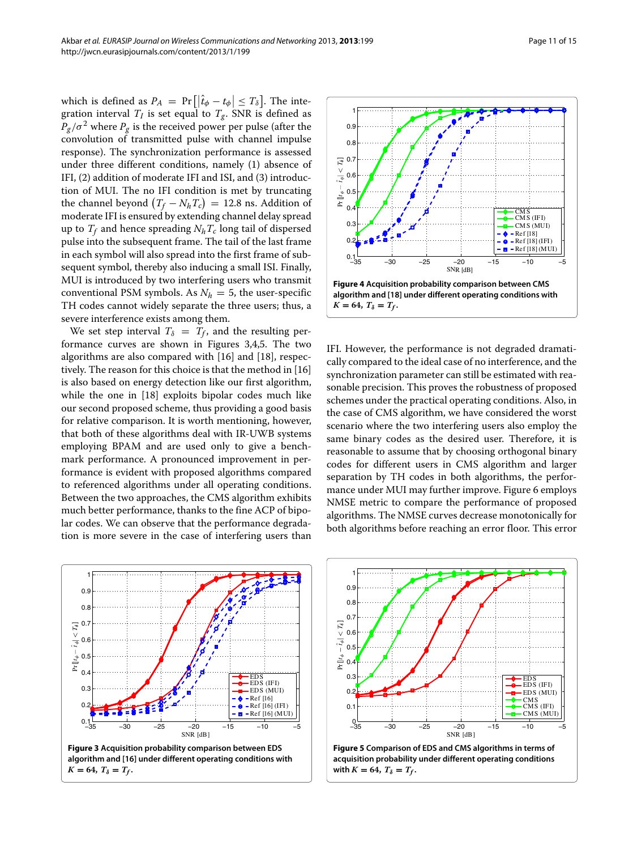which is defined as  $P_A = Pr\left[\left|\hat{t}_{\phi} - t_{\phi}\right| \le T_{\delta}\right]$ . The integration interval  $T_I$  is set equal to  $T_g$ . SNR is defined as  $P_g/\sigma^2$  where  $P_g$  is the received power per pulse (after the convolution of transmitted pulse with channel impulse response). The synchronization performance is assessed under three different conditions, namely (1) absence of IFI, (2) addition of moderate IFI and ISI, and (3) introduction of MUI. The no IFI condition is met by truncating the channel beyond  $(T_f - N_h T_c) = 12.8$  ns. Addition of moderate IFI is ensured by extending channel delay spread up to  $T_f$  and hence spreading  $N_hT_c$  long tail of dispersed pulse into the subsequent frame. The tail of the last frame in each symbol will also spread into the first frame of subsequent symbol, thereby also inducing a small ISI. Finally, MUI is introduced by two interfering users who transmit conventional PSM symbols. As  $N_h = 5$ , the user-specific TH codes cannot widely separate the three users; thus, a severe interference exists among them.

We set step interval  $T_{\delta} = T_f$ , and the resulting performance curves are shown in Figures [3](#page-10-0)[,4,](#page-10-1)[5.](#page-10-2) The two algorithms are also compared with [\[16\]](#page-13-15) and [\[18\]](#page-13-17), respectively. The reason for this choice is that the method in [\[16\]](#page-13-15) is also based on energy detection like our first algorithm, while the one in [\[18\]](#page-13-17) exploits bipolar codes much like our second proposed scheme, thus providing a good basis for relative comparison. It is worth mentioning, however, that both of these algorithms deal with IR-UWB systems employing BPAM and are used only to give a benchmark performance. A pronounced improvement in performance is evident with proposed algorithms compared to referenced algorithms under all operating conditions. Between the two approaches, the CMS algorithm exhibits much better performance, thanks to the fine ACP of bipolar codes. We can observe that the performance degradation is more severe in the case of interfering users than



<span id="page-10-1"></span>IFI. However, the performance is not degraded dramatically compared to the ideal case of no interference, and the synchronization parameter can still be estimated with reasonable precision. This proves the robustness of proposed schemes under the practical operating conditions. Also, in the case of CMS algorithm, we have considered the worst scenario where the two interfering users also employ the same binary codes as the desired user. Therefore, it is reasonable to assume that by choosing orthogonal binary codes for different users in CMS algorithm and larger separation by TH codes in both algorithms, the performance under MUI may further improve. Figure [6](#page-11-0) employs NMSE metric to compare the performance of proposed algorithms. The NMSE curves decrease monotonically for both algorithms before reaching an error floor. This error

<span id="page-10-0"></span>

<span id="page-10-2"></span>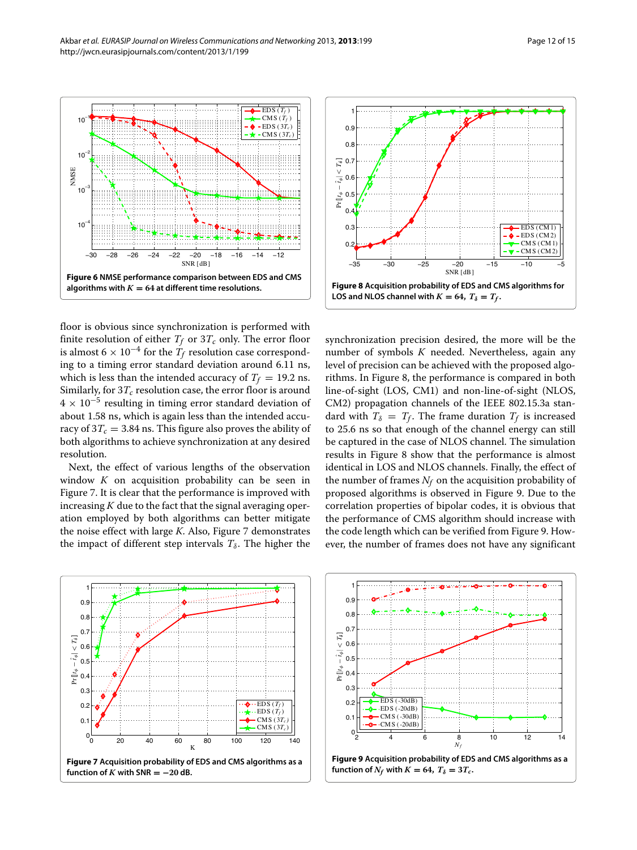

<span id="page-11-0"></span>floor is obvious since synchronization is performed with finite resolution of either  $T_f$  or  $3T_c$  only. The error floor is almost 6  $\times$  10<sup>-4</sup> for the  $T_f$  resolution case corresponding to a timing error standard deviation around 6.11 ns, which is less than the intended accuracy of  $T_f = 19.2$  ns. Similarly, for  $3T_c$  resolution case, the error floor is around <sup>4</sup> <sup>×</sup> <sup>10</sup>−<sup>5</sup> resulting in timing error standard deviation of about 1.58 ns, which is again less than the intended accuracy of  $3T_c = 3.84$  ns. This figure also proves the ability of both algorithms to achieve synchronization at any desired resolution.

Next, the effect of various lengths of the observation window *K* on acquisition probability can be seen in Figure [7.](#page-11-1) It is clear that the performance is improved with increasing  $K$  due to the fact that the signal averaging operation employed by both algorithms can better mitigate the noise effect with large *K*. Also, Figure [7](#page-11-1) demonstrates the impact of different step intervals  $T_\delta$ . The higher the



<span id="page-11-2"></span>synchronization precision desired, the more will be the number of symbols *K* needed. Nevertheless, again any level of precision can be achieved with the proposed algorithms. In Figure [8,](#page-11-2) the performance is compared in both line-of-sight (LOS, CM1) and non-line-of-sight (NLOS, CM2) propagation channels of the IEEE 802.15.3a standard with  $T_{\delta} = T_f$ . The frame duration  $T_f$  is increased to 25.6 ns so that enough of the channel energy can still be captured in the case of NLOS channel. The simulation results in Figure [8](#page-11-2) show that the performance is almost identical in LOS and NLOS channels. Finally, the effect of the number of frames  $N_f$  on the acquisition probability of proposed algorithms is observed in Figure [9.](#page-11-3) Due to the correlation properties of bipolar codes, it is obvious that the performance of CMS algorithm should increase with the code length which can be verified from Figure [9.](#page-11-3) However, the number of frames does not have any significant

<span id="page-11-1"></span>



<span id="page-11-3"></span>**Figure 9 Acquisition probability of EDS and CMS algorithms as a function of**  $N_f$  with  $K = 64$ ,  $T_\delta = 3T_c$ .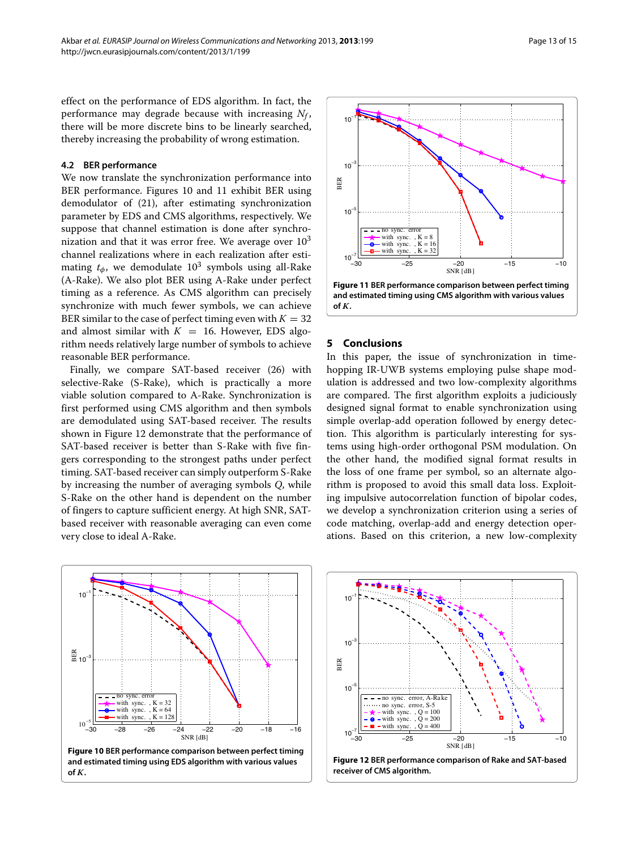#### **4.2 BER performance**

We now translate the synchronization performance into BER performance. Figures [10](#page-12-1) and [11](#page-12-2) exhibit BER using demodulator of [\(21\)](#page-5-4), after estimating synchronization parameter by EDS and CMS algorithms, respectively. We suppose that channel estimation is done after synchronization and that it was error free. We average over  $10<sup>3</sup>$ channel realizations where in each realization after estimating  $t_{\phi}$ , we demodulate  $10^3$  symbols using all-Rake (A-Rake). We also plot BER using A-Rake under perfect timing as a reference. As CMS algorithm can precisely synchronize with much fewer symbols, we can achieve BER similar to the case of perfect timing even with  $K = 32$ and almost similar with  $K = 16$ . However, EDS algorithm needs relatively large number of symbols to achieve reasonable BER performance.

Finally, we compare SAT-based receiver [\(26\)](#page-7-3) with selective-Rake (S-Rake), which is practically a more viable solution compared to A-Rake. Synchronization is first performed using CMS algorithm and then symbols are demodulated using SAT-based receiver. The results shown in Figure [12](#page-12-3) demonstrate that the performance of SAT-based receiver is better than S-Rake with five fingers corresponding to the strongest paths under perfect timing. SAT-based receiver can simply outperform S-Rake by increasing the number of averaging symbols *Q*, while S-Rake on the other hand is dependent on the number of fingers to capture sufficient energy. At high SNR, SATbased receiver with reasonable averaging can even come very close to ideal A-Rake.

<span id="page-12-1"></span>



#### <span id="page-12-2"></span><span id="page-12-0"></span>**5 Conclusions**

In this paper, the issue of synchronization in timehopping IR-UWB systems employing pulse shape modulation is addressed and two low-complexity algorithms are compared. The first algorithm exploits a judiciously designed signal format to enable synchronization using simple overlap-add operation followed by energy detection. This algorithm is particularly interesting for systems using high-order orthogonal PSM modulation. On the other hand, the modified signal format results in the loss of one frame per symbol, so an alternate algorithm is proposed to avoid this small data loss. Exploiting impulsive autocorrelation function of bipolar codes, we develop a synchronization criterion using a series of code matching, overlap-add and energy detection operations. Based on this criterion, a new low-complexity

<span id="page-12-3"></span>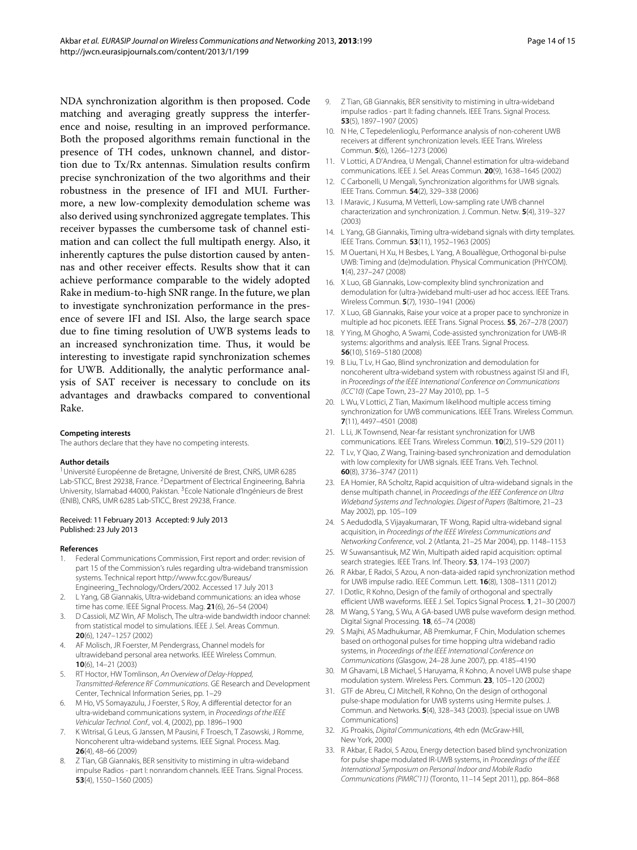NDA synchronization algorithm is then proposed. Code matching and averaging greatly suppress the interference and noise, resulting in an improved performance. Both the proposed algorithms remain functional in the presence of TH codes, unknown channel, and distortion due to Tx/Rx antennas. Simulation results confirm precise synchronization of the two algorithms and their robustness in the presence of IFI and MUI. Furthermore, a new low-complexity demodulation scheme was also derived using synchronized aggregate templates. This receiver bypasses the cumbersome task of channel estimation and can collect the full multipath energy. Also, it inherently captures the pulse distortion caused by antennas and other receiver effects. Results show that it can achieve performance comparable to the widely adopted Rake in medium-to-high SNR range. In the future, we plan to investigate synchronization performance in the presence of severe IFI and ISI. Also, the large search space due to fine timing resolution of UWB systems leads to an increased synchronization time. Thus, it would be interesting to investigate rapid synchronization schemes for UWB. Additionally, the analytic performance analysis of SAT receiver is necessary to conclude on its advantages and drawbacks compared to conventional Rake.

#### **Competing interests**

The authors declare that they have no competing interests.

#### **Author details**

<sup>1</sup> Université Européenne de Bretagne, Université de Brest, CNRS, UMR 6285 Lab-STICC, Brest 29238, France. <sup>2</sup>Department of Electrical Engineering, Bahria University, Islamabad 44000, Pakistan. 3Ecole Nationale d'Ingénieurs de Brest (ENIB), CNRS, UMR 6285 Lab-STICC, Brest 29238, France.

#### Received: 11 February 2013 Accepted: 9 July 2013 Published: 23 July 2013

#### **References**

- <span id="page-13-0"></span>1. Federal Communications Commission, First report and order: revision of part 15 of the Commission's rules regarding ultra-wideband transmission systems. Technical report [http://www.fcc.gov/Bureaus/](http://www.fcc.gov/Bureaus/Engineering_Technology/Orders/2002) [Engineering\\_Technology/Orders/2002.](http://www.fcc.gov/Bureaus/Engineering_Technology/Orders/2002) Accessed 17 July 2013
- <span id="page-13-1"></span>L Yang, GB Giannakis, Ultra-wideband communications: an idea whose time has come. IEEE Signal Process. Mag. **21**(6), 26–54 (2004)
- <span id="page-13-2"></span>3. D Cassioli, MZ Win, AF Molisch, The ultra-wide bandwidth indoor channel: from statistical model to simulations. IEEE J. Sel. Areas Commun. **20**(6), 1247–1257 (2002)
- <span id="page-13-3"></span>AF Molisch, JR Foerster, M Pendergrass, Channel models for ultrawideband personal area networks. IEEE Wireless Commun. **10**(6), 14–21 (2003)
- <span id="page-13-4"></span>RT Hoctor, HW Tomlinson, An Overview of Delay-Hopped, Transmitted-Reference RF Communications. GE Research and Development Center, Technical Information Series, pp. 1–29
- <span id="page-13-5"></span>6. M Ho, VS Somayazulu, J Foerster, S Roy, A differential detector for an ultra-wideband communications system, in Proceedings of the IEEE Vehicular Technol. Conf., vol. 4, (2002), pp. 1896–1900
- <span id="page-13-6"></span>7. K Witrisal, G Leus, G Janssen, M Pausini, F Troesch, T Zasowski, J Romme, Noncoherent ultra-wideband systems. IEEE Signal. Process. Mag. **26**(4), 48–66 (2009)
- <span id="page-13-7"></span>8. Z Tian, GB Giannakis, BER sensitivity to mistiming in ultra-wideband impulse Radios - part I: nonrandom channels. IEEE Trans. Signal Process. **53**(4), 1550–1560 (2005)
- <span id="page-13-32"></span>9. Z Tian, GB Giannakis, BER sensitivity to mistiming in ultra-wideband impulse radios - part II: fading channels. IEEE Trans. Signal Process. **53**(5), 1897–1907 (2005)
- <span id="page-13-8"></span>10. N He, C Tepedelenlioglu, Performance analysis of non-coherent UWB receivers at different synchronization levels. IEEE Trans. Wireless Commun. **5**(6), 1266–1273 (2006)
- <span id="page-13-9"></span>11. V Lottici, A D'Andrea, U Mengali, Channel estimation for ultra-wideband communications. IEEE J. Sel. Areas Commun. **20**(9), 1638–1645 (2002)
- <span id="page-13-12"></span>12. C Carbonelli, U Mengali, Synchronization algorithms for UWB signals. IEEE Trans. Commun. **54**(2), 329–338 (2006)
- <span id="page-13-11"></span>13. I Maravic, J Kusuma, M Vetterli, Low-sampling rate UWB channel characterization and synchronization. J. Commun. Netw. **5**(4), 319–327 (2003)
- <span id="page-13-13"></span>14. L Yang, GB Giannakis, Timing ultra-wideband signals with dirty templates. IEEE Trans. Commun. **53**(11), 1952–1963 (2005)
- <span id="page-13-14"></span>15. M Ouertani, H Xu, H Besbes, L Yang, A Bouallègue, Orthogonal bi-pulse UWB: Timing and (de)modulation. Physical Communication (PHYCOM). **1**(4), 237–247 (2008)
- <span id="page-13-15"></span>16. X Luo, GB Giannakis, Low-complexity blind synchronization and demodulation for (ultra-)wideband multi-user ad hoc access. IEEE Trans. Wireless Commun. **5**(7), 1930–1941 (2006)
- <span id="page-13-16"></span>17. X Luo, GB Giannakis, Raise your voice at a proper pace to synchronize in multiple ad hoc piconets. IEEE Trans. Signal Process. **55**, 267–278 (2007)
- <span id="page-13-17"></span>18. Y Ying, M Ghogho, A Swami, Code-assisted synchronization for UWB-IR systems: algorithms and analysis. IEEE Trans. Signal Process. **56**(10), 5169–5180 (2008)
- <span id="page-13-18"></span>19. B Liu, T Lv, H Gao, Blind synchronization and demodulation for noncoherent ultra-wideband system with robustness against ISI and IFI, in Proceedings of the IEEE International Conference on Communications (ICC'10) (Cape Town, 23–27 May 2010), pp. 1–5
- <span id="page-13-19"></span>20. L Wu, V Lottici, Z Tian, Maximum likelihood multiple access timing synchronization for UWB communications. IEEE Trans. Wireless Commun. **7**(11), 4497–4501 (2008)
- <span id="page-13-20"></span>21. L Li, JK Townsend, Near-far resistant synchronization for UWB communications. IEEE Trans. Wireless Commun. **10**(2), 519–529 (2011)
- <span id="page-13-21"></span>22. T Lv, Y Qiao, Z Wang, Training-based synchronization and demodulation with low complexity for UWB signals. IEEE Trans. Veh. Technol. **60**(8), 3736–3747 (2011)
- <span id="page-13-22"></span>23. EA Homier, RA Scholtz, Rapid acquisition of ultra-wideband signals in the dense multipath channel, in Proceedings of the IEEE Conference on Ultra Wideband Systems and Technologies. Digest of Papers (Baltimore, 21–23 May 2002), pp. 105–109
- <span id="page-13-23"></span>24. S Aedudodla, S Vijayakumaran, TF Wong, Rapid ultra-wideband signal acquisition, in Proceedings of the IEEE Wireless Communications and Networking Conference, vol. 2 (Atlanta, 21–25 Mar 2004), pp. 1148–1153
- <span id="page-13-24"></span>25. W Suwansantisuk, MZ Win, Multipath aided rapid acquisition: optimal search strategies. IEEE Trans. Inf. Theory. **53**, 174–193 (2007)
- <span id="page-13-10"></span>26. R Akbar, E Radoi, S Azou, A non-data-aided rapid synchronization method for UWB impulse radio. IEEE Commun. Lett. **16**(8), 1308–1311 (2012)
- <span id="page-13-25"></span>27. I Dotlic, R Kohno, Design of the family of orthogonal and spectrally efficient UWB waveforms. IEEE J. Sel. Topics Signal Process. **1**, 21–30 (2007)
- <span id="page-13-26"></span>28. M Wang, S Yang, S Wu, A GA-based UWB pulse waveform design method. Digital Signal Processing. **18**, 65–74 (2008)
- <span id="page-13-27"></span>29. S Majhi, AS Madhukumar, AB Premkumar, F Chin, Modulation schemes based on orthogonal pulses for time hopping ultra wideband radio systems, in Proceedings of the IEEE International Conference on Communications (Glasgow, 24–28 June 2007), pp. 4185–4190
- <span id="page-13-28"></span>30. M Ghavami, LB Michael, S Haruyama, R Kohno, A novel UWB pulse shape modulation system. Wireless Pers. Commun. **23**, 105–120 (2002)
- <span id="page-13-29"></span>31. GTF de Abreu, CJ Mitchell, R Kohno, On the design of orthogonal pulse-shape modulation for UWB systems using Hermite pulses. J. Commun. and Networks. **5**(4), 328–343 (2003). [special issue on UWB Communications]
- <span id="page-13-30"></span>32. JG Proakis, Digital Communications, 4th edn (McGraw-Hill, New York, 2000)
- <span id="page-13-31"></span>33. R Akbar, E Radoi, S Azou, Energy detection based blind synchronization for pulse shape modulated IR-UWB systems, in Proceedings of the IFFE International Symposium on Personal Indoor and Mobile Radio Communications (PIMRC'11) (Toronto, 11–14 Sept 2011), pp. 864–868